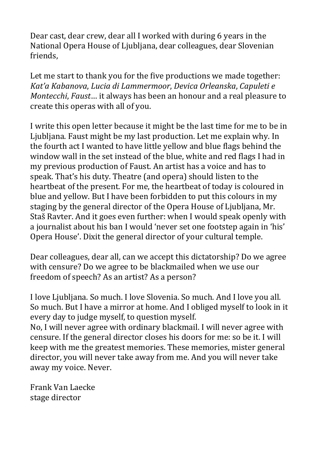Dear cast, dear crew, dear all I worked with during 6 years in the National Opera House of Ljubljana, dear colleagues, dear Slovenian friends,

Let me start to thank you for the five productions we made together: *Kat'a Kabanova*, *Lucia di Lammermoor*, *Devica Orleanska*, *Capuleti e Montecchi*, *Faust*… it always has been an honour and a real pleasure to create this operas with all of you.

I write this open letter because it might be the last time for me to be in Ljubljana. Faust might be my last production. Let me explain why. In the fourth act I wanted to have little yellow and blue flags behind the window wall in the set instead of the blue, white and red flags I had in my previous production of Faust. An artist has a voice and has to speak. That's his duty. Theatre (and opera) should listen to the heartbeat of the present. For me, the heartbeat of today is coloured in blue and yellow. But I have been forbidden to put this colours in my staging by the general director of the Opera House of Ljubljana, Mr. Staš Ravter. And it goes even further: when I would speak openly with a journalist about his ban I would 'never set one footstep again in 'his' Opera House'. Dixit the general director of your cultural temple.

Dear colleagues, dear all, can we accept this dictatorship? Do we agree with censure? Do we agree to be blackmailed when we use our freedom of speech? As an artist? As a person?

I love Ljubljana. So much. I love Slovenia. So much. And I love you all. So much. But I have a mirror at home. And I obliged myself to look in it every day to judge myself, to question myself. No, I will never agree with ordinary blackmail. I will never agree with censure. If the general director closes his doors for me: so be it. I will keep with me the greatest memories. These memories, mister general director, you will never take away from me. And you will never take away my voice. Never.

Frank Van Laecke stage director